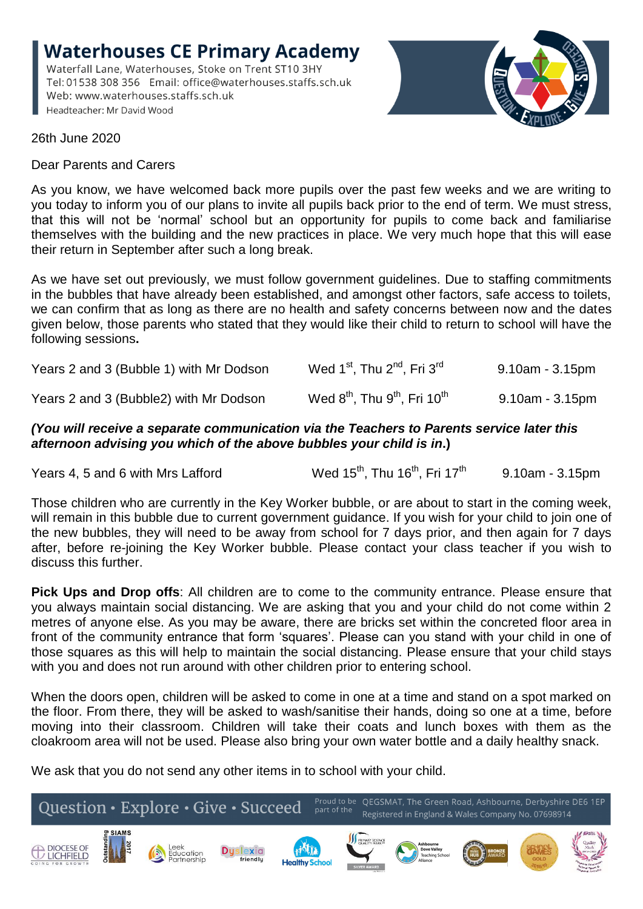**Waterhouses CE Primary Academy** Waterfall Lane, Waterhouses, Stoke on Trent ST10 3HY Tel: 01538 308 356 Email: office@waterhouses.staffs.sch.uk Web: www.waterhouses.staffs.sch.uk Headteacher: Mr David Wood



26th June 2020

Dear Parents and Carers

As you know, we have welcomed back more pupils over the past few weeks and we are writing to you today to inform you of our plans to invite all pupils back prior to the end of term. We must stress, that this will not be 'normal' school but an opportunity for pupils to come back and familiarise themselves with the building and the new practices in place. We very much hope that this will ease their return in September after such a long break.

As we have set out previously, we must follow government guidelines. Due to staffing commitments in the bubbles that have already been established, and amongst other factors, safe access to toilets, we can confirm that as long as there are no health and safety concerns between now and the dates given below, those parents who stated that they would like their child to return to school will have the following sessions**.**

| Years 2 and 3 (Bubble 1) with Mr Dodson | Wed 1 <sup>st</sup> , Thu 2 <sup>nd</sup> , Fri 3 <sup>rd</sup>  | 9.10am - 3.15pm       |
|-----------------------------------------|------------------------------------------------------------------|-----------------------|
| Years 2 and 3 (Bubble2) with Mr Dodson  | Wed $8^{\text{th}}$ , Thu $9^{\text{th}}$ , Fri 10 <sup>th</sup> | $9.10$ am - $3.15$ pm |

## *(You will receive a separate communication via the Teachers to Parents service later this afternoon advising you which of the above bubbles your child is in***.)**

Years 4, 5 and 6 with Mrs Lafford Wed  $15^{th}$ . Thu  $16^{th}$ . Fri  $17^{th}$ 9.10am - 3.15pm

Those children who are currently in the Key Worker bubble, or are about to start in the coming week, will remain in this bubble due to current government guidance. If you wish for your child to join one of the new bubbles, they will need to be away from school for 7 days prior, and then again for 7 days after, before re-joining the Key Worker bubble. Please contact your class teacher if you wish to discuss this further.

**Pick Ups and Drop offs**: All children are to come to the community entrance. Please ensure that you always maintain social distancing. We are asking that you and your child do not come within 2 metres of anyone else. As you may be aware, there are bricks set within the concreted floor area in front of the community entrance that form 'squares'. Please can you stand with your child in one of those squares as this will help to maintain the social distancing. Please ensure that your child stays with you and does not run around with other children prior to entering school.

When the doors open, children will be asked to come in one at a time and stand on a spot marked on the floor. From there, they will be asked to wash/sanitise their hands, doing so one at a time, before moving into their classroom. Children will take their coats and lunch boxes with them as the cloakroom area will not be used. Please also bring your own water bottle and a daily healthy snack.

We ask that you do not send any other items in to school with your child.